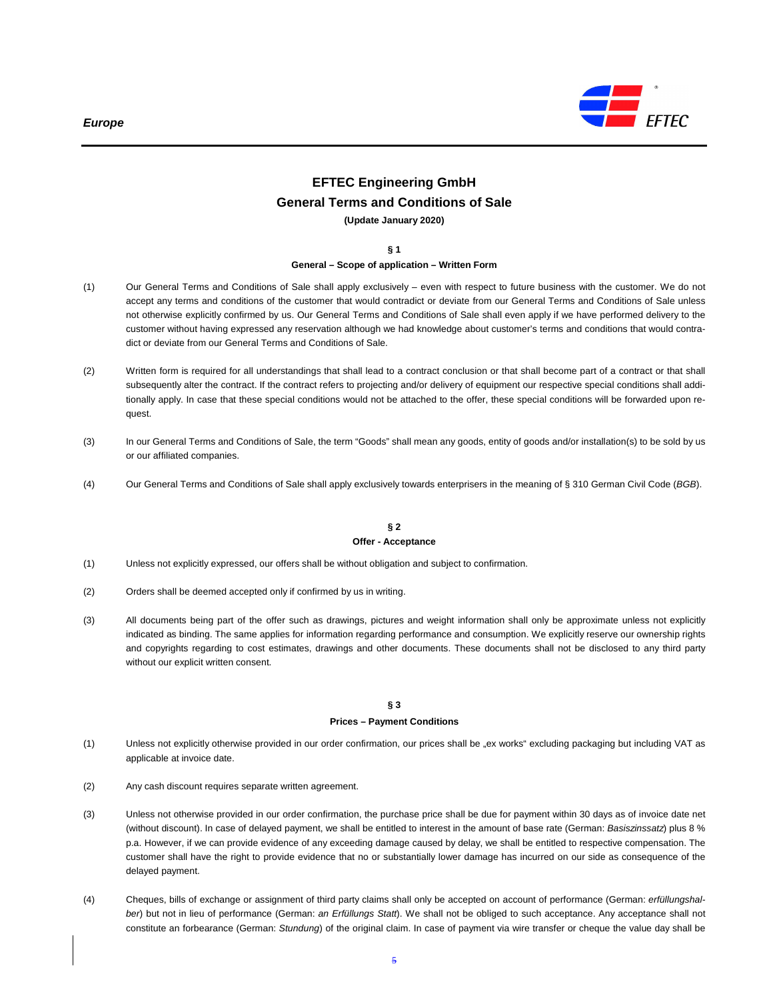

# **EFTEC Engineering GmbH General Terms and Conditions of Sale**

**(Update January 2020)** 

**§ 1** 

# **General – Scope of application – Written Form**

- (1) Our General Terms and Conditions of Sale shall apply exclusively even with respect to future business with the customer. We do not accept any terms and conditions of the customer that would contradict or deviate from our General Terms and Conditions of Sale unless not otherwise explicitly confirmed by us. Our General Terms and Conditions of Sale shall even apply if we have performed delivery to the customer without having expressed any reservation although we had knowledge about customer's terms and conditions that would contradict or deviate from our General Terms and Conditions of Sale.
- (2) Written form is required for all understandings that shall lead to a contract conclusion or that shall become part of a contract or that shall subsequently alter the contract. If the contract refers to projecting and/or delivery of equipment our respective special conditions shall additionally apply. In case that these special conditions would not be attached to the offer, these special conditions will be forwarded upon request.
- (3) In our General Terms and Conditions of Sale, the term "Goods" shall mean any goods, entity of goods and/or installation(s) to be sold by us or our affiliated companies.
- (4) Our General Terms and Conditions of Sale shall apply exclusively towards enterprisers in the meaning of § 310 German Civil Code (BGB).

## **§ 2 Offer - Acceptance**

- (1) Unless not explicitly expressed, our offers shall be without obligation and subject to confirmation.
- (2) Orders shall be deemed accepted only if confirmed by us in writing.
- (3) All documents being part of the offer such as drawings, pictures and weight information shall only be approximate unless not explicitly indicated as binding. The same applies for information regarding performance and consumption. We explicitly reserve our ownership rights and copyrights regarding to cost estimates, drawings and other documents. These documents shall not be disclosed to any third party without our explicit written consent.

#### **§ 3**

#### **Prices – Payment Conditions**

- (1) Unless not explicitly otherwise provided in our order confirmation, our prices shall be "ex works" excluding packaging but including VAT as applicable at invoice date.
- (2) Any cash discount requires separate written agreement.
- (3) Unless not otherwise provided in our order confirmation, the purchase price shall be due for payment within 30 days as of invoice date net (without discount). In case of delayed payment, we shall be entitled to interest in the amount of base rate (German: Basiszinssatz) plus 8 % p.a. However, if we can provide evidence of any exceeding damage caused by delay, we shall be entitled to respective compensation. The customer shall have the right to provide evidence that no or substantially lower damage has incurred on our side as consequence of the delayed payment.
- (4) Cheques, bills of exchange or assignment of third party claims shall only be accepted on account of performance (German: erfüllungshalber) but not in lieu of performance (German: an Erfüllungs Statt). We shall not be obliged to such acceptance. Any acceptance shall not constitute an forbearance (German: Stundung) of the original claim. In case of payment via wire transfer or cheque the value day shall be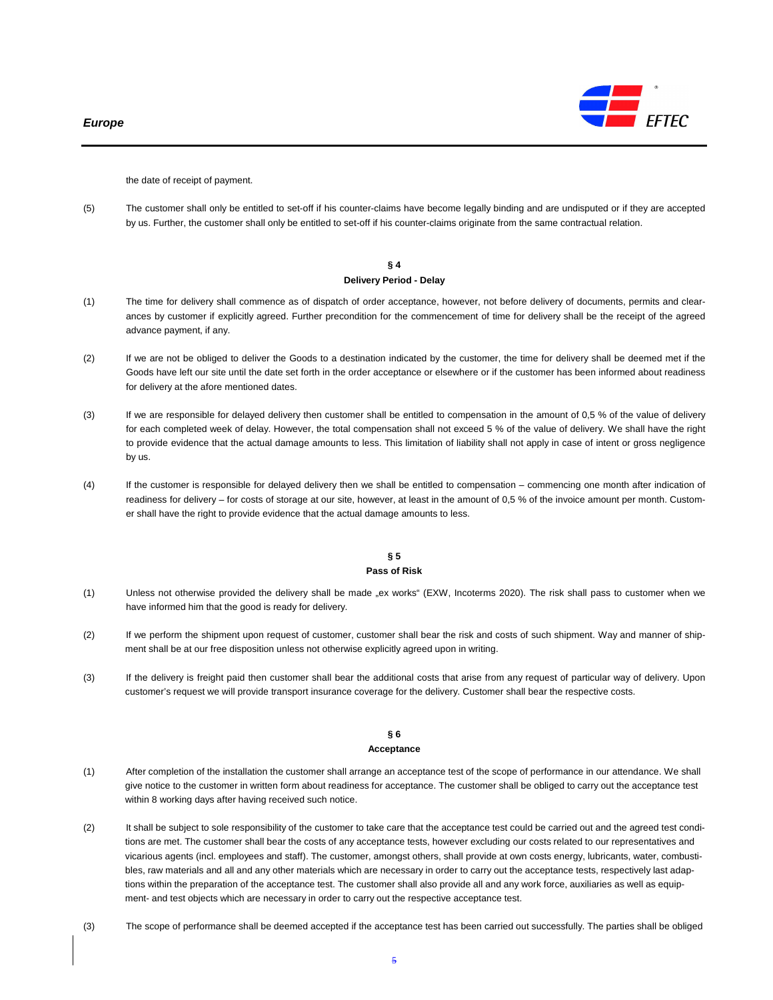

the date of receipt of payment.

(5) The customer shall only be entitled to set-off if his counter-claims have become legally binding and are undisputed or if they are accepted by us. Further, the customer shall only be entitled to set-off if his counter-claims originate from the same contractual relation.

#### **§ 4 Delivery Period - Delay**

- (1) The time for delivery shall commence as of dispatch of order acceptance, however, not before delivery of documents, permits and clearances by customer if explicitly agreed. Further precondition for the commencement of time for delivery shall be the receipt of the agreed advance payment, if any.
- (2) If we are not be obliged to deliver the Goods to a destination indicated by the customer, the time for delivery shall be deemed met if the Goods have left our site until the date set forth in the order acceptance or elsewhere or if the customer has been informed about readiness for delivery at the afore mentioned dates.
- (3) If we are responsible for delayed delivery then customer shall be entitled to compensation in the amount of 0,5 % of the value of delivery for each completed week of delay. However, the total compensation shall not exceed 5 % of the value of delivery. We shall have the right to provide evidence that the actual damage amounts to less. This limitation of liability shall not apply in case of intent or gross negligence by us.
- (4) If the customer is responsible for delayed delivery then we shall be entitled to compensation commencing one month after indication of readiness for delivery – for costs of storage at our site, however, at least in the amount of 0,5 % of the invoice amount per month. Customer shall have the right to provide evidence that the actual damage amounts to less.

## **§ 5 Pass of Risk**

- (1) Unless not otherwise provided the delivery shall be made "ex works" (EXW, Incoterms 2020). The risk shall pass to customer when we have informed him that the good is ready for delivery.
- (2) If we perform the shipment upon request of customer, customer shall bear the risk and costs of such shipment. Way and manner of shipment shall be at our free disposition unless not otherwise explicitly agreed upon in writing.
- (3) If the delivery is freight paid then customer shall bear the additional costs that arise from any request of particular way of delivery. Upon customer's request we will provide transport insurance coverage for the delivery. Customer shall bear the respective costs.

#### **§ 6 Acceptance**

- (1) After completion of the installation the customer shall arrange an acceptance test of the scope of performance in our attendance. We shall give notice to the customer in written form about readiness for acceptance. The customer shall be obliged to carry out the acceptance test within 8 working days after having received such notice.
- (2) It shall be subject to sole responsibility of the customer to take care that the acceptance test could be carried out and the agreed test conditions are met. The customer shall bear the costs of any acceptance tests, however excluding our costs related to our representatives and vicarious agents (incl. employees and staff). The customer, amongst others, shall provide at own costs energy, lubricants, water, combustibles, raw materials and all and any other materials which are necessary in order to carry out the acceptance tests, respectively last adaptions within the preparation of the acceptance test. The customer shall also provide all and any work force, auxiliaries as well as equipment- and test objects which are necessary in order to carry out the respective acceptance test.
- (3) The scope of performance shall be deemed accepted if the acceptance test has been carried out successfully. The parties shall be obliged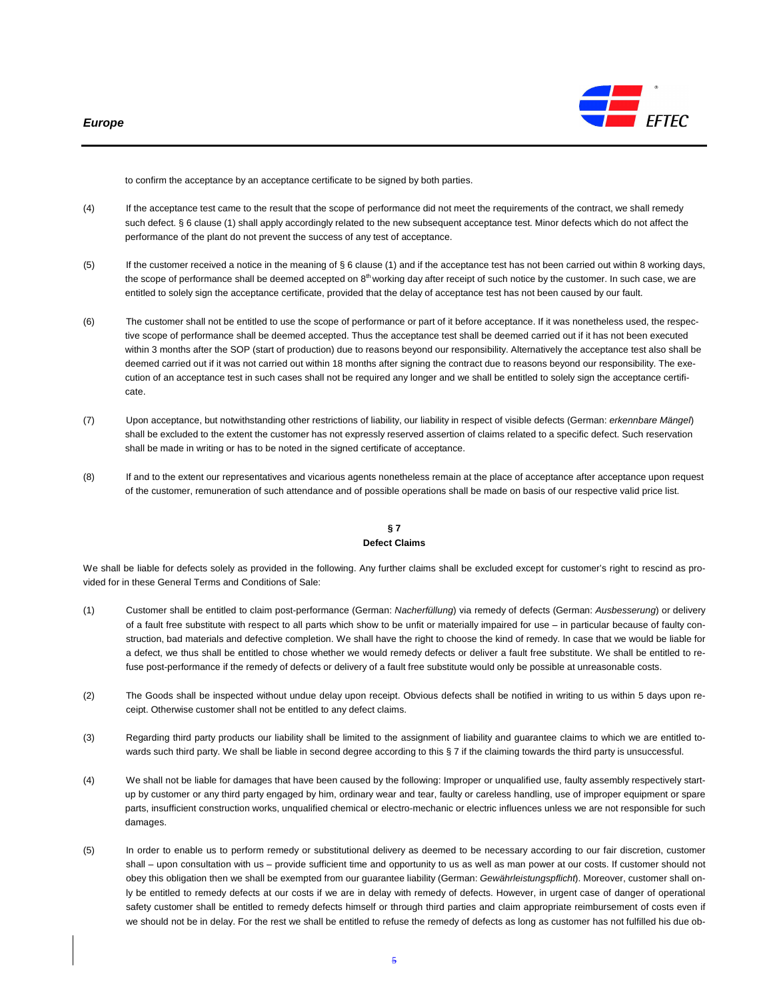

to confirm the acceptance by an acceptance certificate to be signed by both parties.

- (4) If the acceptance test came to the result that the scope of performance did not meet the requirements of the contract, we shall remedy such defect. § 6 clause (1) shall apply accordingly related to the new subsequent acceptance test. Minor defects which do not affect the performance of the plant do not prevent the success of any test of acceptance.
- (5) If the customer received a notice in the meaning of § 6 clause (1) and if the acceptance test has not been carried out within 8 working days, the scope of performance shall be deemed accepted on 8<sup>th</sup> working day after receipt of such notice by the customer. In such case, we are entitled to solely sign the acceptance certificate, provided that the delay of acceptance test has not been caused by our fault.
- (6) The customer shall not be entitled to use the scope of performance or part of it before acceptance. If it was nonetheless used, the respective scope of performance shall be deemed accepted. Thus the acceptance test shall be deemed carried out if it has not been executed within 3 months after the SOP (start of production) due to reasons beyond our responsibility. Alternatively the acceptance test also shall be deemed carried out if it was not carried out within 18 months after signing the contract due to reasons beyond our responsibility. The execution of an acceptance test in such cases shall not be required any longer and we shall be entitled to solely sign the acceptance certificate.
- (7) Upon acceptance, but notwithstanding other restrictions of liability, our liability in respect of visible defects (German: erkennbare Mängel) shall be excluded to the extent the customer has not expressly reserved assertion of claims related to a specific defect. Such reservation shall be made in writing or has to be noted in the signed certificate of acceptance.
- (8) If and to the extent our representatives and vicarious agents nonetheless remain at the place of acceptance after acceptance upon request of the customer, remuneration of such attendance and of possible operations shall be made on basis of our respective valid price list.

# **§ 7 Defect Claims**

We shall be liable for defects solely as provided in the following. Any further claims shall be excluded except for customer's right to rescind as provided for in these General Terms and Conditions of Sale:

- (1) Customer shall be entitled to claim post-performance (German: Nacherfüllung) via remedy of defects (German: Ausbesserung) or delivery of a fault free substitute with respect to all parts which show to be unfit or materially impaired for use – in particular because of faulty construction, bad materials and defective completion. We shall have the right to choose the kind of remedy. In case that we would be liable for a defect, we thus shall be entitled to chose whether we would remedy defects or deliver a fault free substitute. We shall be entitled to refuse post-performance if the remedy of defects or delivery of a fault free substitute would only be possible at unreasonable costs.
- (2) The Goods shall be inspected without undue delay upon receipt. Obvious defects shall be notified in writing to us within 5 days upon receipt. Otherwise customer shall not be entitled to any defect claims.
- (3) Regarding third party products our liability shall be limited to the assignment of liability and guarantee claims to which we are entitled towards such third party. We shall be liable in second degree according to this § 7 if the claiming towards the third party is unsuccessful.
- (4) We shall not be liable for damages that have been caused by the following: Improper or unqualified use, faulty assembly respectively startup by customer or any third party engaged by him, ordinary wear and tear, faulty or careless handling, use of improper equipment or spare parts, insufficient construction works, unqualified chemical or electro-mechanic or electric influences unless we are not responsible for such damages.
- (5) In order to enable us to perform remedy or substitutional delivery as deemed to be necessary according to our fair discretion, customer shall – upon consultation with us – provide sufficient time and opportunity to us as well as man power at our costs. If customer should not obey this obligation then we shall be exempted from our guarantee liability (German: Gewährleistungspflicht). Moreover, customer shall only be entitled to remedy defects at our costs if we are in delay with remedy of defects. However, in urgent case of danger of operational safety customer shall be entitled to remedy defects himself or through third parties and claim appropriate reimbursement of costs even if we should not be in delay. For the rest we shall be entitled to refuse the remedy of defects as long as customer has not fulfilled his due ob-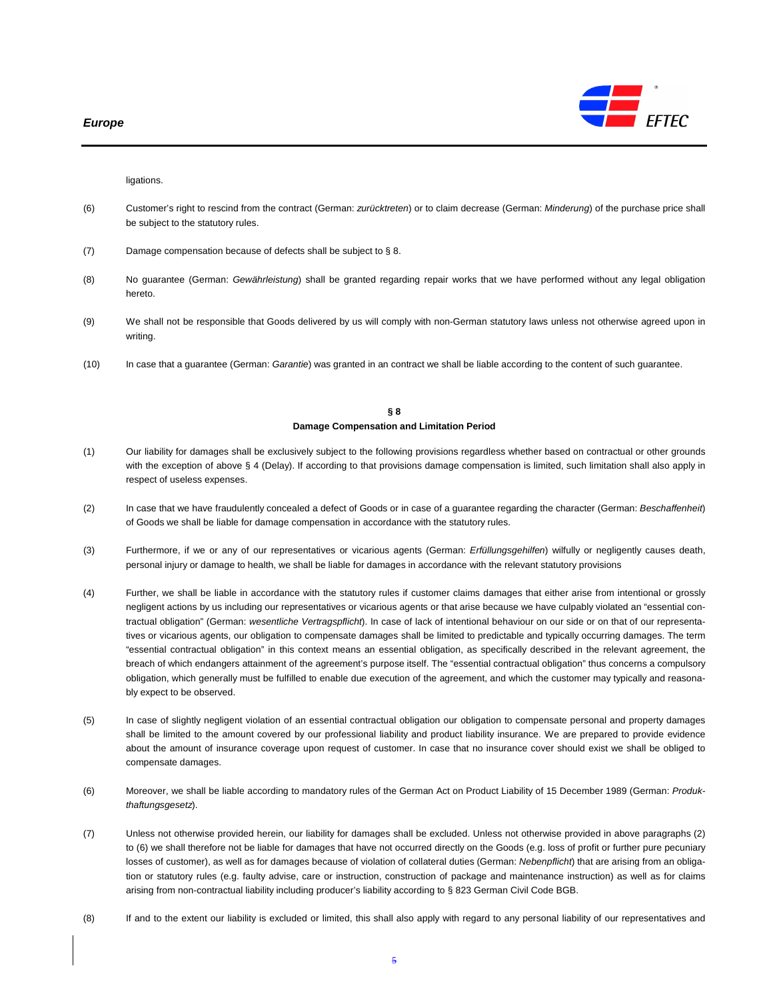

ligations.

- (6) Customer's right to rescind from the contract (German: zurücktreten) or to claim decrease (German: Minderung) of the purchase price shall be subject to the statutory rules.
- (7) Damage compensation because of defects shall be subject to § 8.
- (8) No guarantee (German: Gewährleistung) shall be granted regarding repair works that we have performed without any legal obligation hereto.
- (9) We shall not be responsible that Goods delivered by us will comply with non-German statutory laws unless not otherwise agreed upon in writing.
- (10) In case that a guarantee (German: Garantie) was granted in an contract we shall be liable according to the content of such guarantee.

#### **§ 8 Damage Compensation and Limitation Period**

- (1) Our liability for damages shall be exclusively subject to the following provisions regardless whether based on contractual or other grounds with the exception of above § 4 (Delay). If according to that provisions damage compensation is limited, such limitation shall also apply in respect of useless expenses.
- (2) In case that we have fraudulently concealed a defect of Goods or in case of a guarantee regarding the character (German: Beschaffenheit) of Goods we shall be liable for damage compensation in accordance with the statutory rules.
- (3) Furthermore, if we or any of our representatives or vicarious agents (German: Erfüllungsgehilfen) wilfully or negligently causes death, personal injury or damage to health, we shall be liable for damages in accordance with the relevant statutory provisions
- (4) Further, we shall be liable in accordance with the statutory rules if customer claims damages that either arise from intentional or grossly negligent actions by us including our representatives or vicarious agents or that arise because we have culpably violated an "essential contractual obligation" (German: wesentliche Vertragspflicht). In case of lack of intentional behaviour on our side or on that of our representatives or vicarious agents, our obligation to compensate damages shall be limited to predictable and typically occurring damages. The term "essential contractual obligation" in this context means an essential obligation, as specifically described in the relevant agreement, the breach of which endangers attainment of the agreement's purpose itself. The "essential contractual obligation" thus concerns a compulsory obligation, which generally must be fulfilled to enable due execution of the agreement, and which the customer may typically and reasonably expect to be observed.
- (5) In case of slightly negligent violation of an essential contractual obligation our obligation to compensate personal and property damages shall be limited to the amount covered by our professional liability and product liability insurance. We are prepared to provide evidence about the amount of insurance coverage upon request of customer. In case that no insurance cover should exist we shall be obliged to compensate damages.
- (6) Moreover, we shall be liable according to mandatory rules of the German Act on Product Liability of 15 December 1989 (German: Produkthaftungsgesetz).
- (7) Unless not otherwise provided herein, our liability for damages shall be excluded. Unless not otherwise provided in above paragraphs (2) to (6) we shall therefore not be liable for damages that have not occurred directly on the Goods (e.g. loss of profit or further pure pecuniary losses of customer), as well as for damages because of violation of collateral duties (German: Nebenpflicht) that are arising from an obligation or statutory rules (e.g. faulty advise, care or instruction, construction of package and maintenance instruction) as well as for claims arising from non-contractual liability including producer's liability according to § 823 German Civil Code BGB.
- (8) If and to the extent our liability is excluded or limited, this shall also apply with regard to any personal liability of our representatives and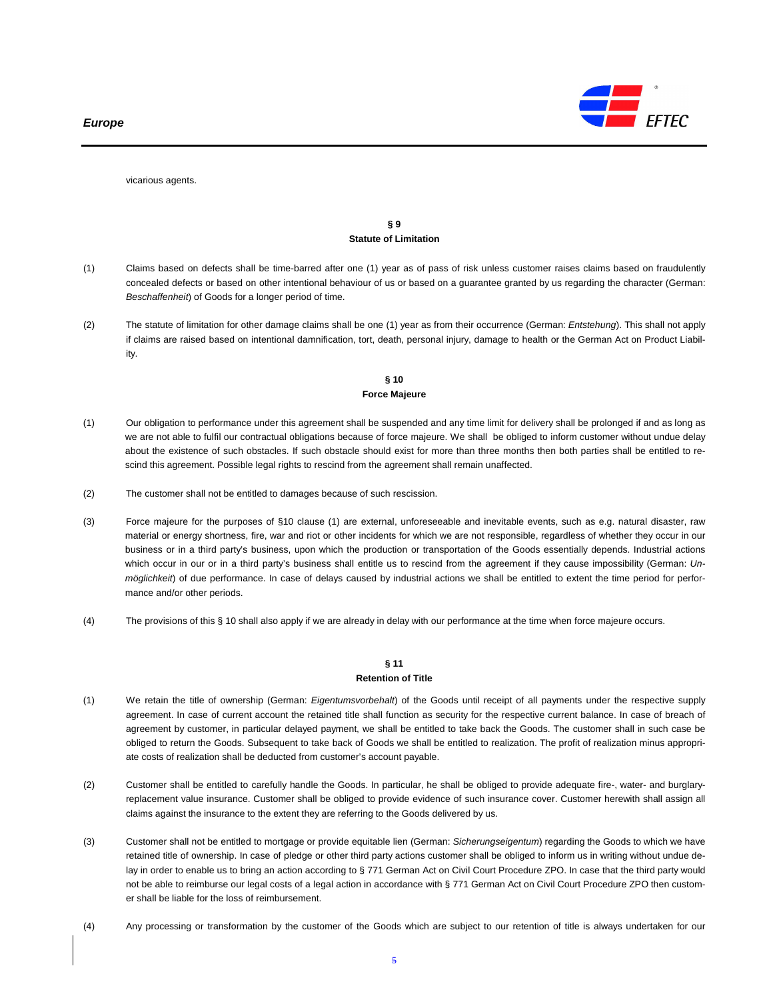

vicarious agents.

# **§ 9 Statute of Limitation**

- (1) Claims based on defects shall be time-barred after one (1) year as of pass of risk unless customer raises claims based on fraudulently concealed defects or based on other intentional behaviour of us or based on a guarantee granted by us regarding the character (German: Beschaffenheit) of Goods for a longer period of time.
- (2) The statute of limitation for other damage claims shall be one (1) year as from their occurrence (German: Entstehung). This shall not apply if claims are raised based on intentional damnification, tort, death, personal injury, damage to health or the German Act on Product Liability.

# **§ 10 Force Majeure**

- (1) Our obligation to performance under this agreement shall be suspended and any time limit for delivery shall be prolonged if and as long as we are not able to fulfil our contractual obligations because of force majeure. We shall be obliged to inform customer without undue delay about the existence of such obstacles. If such obstacle should exist for more than three months then both parties shall be entitled to rescind this agreement. Possible legal rights to rescind from the agreement shall remain unaffected.
- (2) The customer shall not be entitled to damages because of such rescission.
- (3) Force majeure for the purposes of §10 clause (1) are external, unforeseeable and inevitable events, such as e.g. natural disaster, raw material or energy shortness, fire, war and riot or other incidents for which we are not responsible, regardless of whether they occur in our business or in a third party's business, upon which the production or transportation of the Goods essentially depends. Industrial actions which occur in our or in a third party's business shall entitle us to rescind from the agreement if they cause impossibility (German: Unmöglichkeit) of due performance. In case of delays caused by industrial actions we shall be entitled to extent the time period for performance and/or other periods.
- (4) The provisions of this § 10 shall also apply if we are already in delay with our performance at the time when force majeure occurs.

# **§ 11**

#### **Retention of Title**

- (1) We retain the title of ownership (German: Eigentumsvorbehalt) of the Goods until receipt of all payments under the respective supply agreement. In case of current account the retained title shall function as security for the respective current balance. In case of breach of agreement by customer, in particular delayed payment, we shall be entitled to take back the Goods. The customer shall in such case be obliged to return the Goods. Subsequent to take back of Goods we shall be entitled to realization. The profit of realization minus appropriate costs of realization shall be deducted from customer's account payable.
- (2) Customer shall be entitled to carefully handle the Goods. In particular, he shall be obliged to provide adequate fire-, water- and burglaryreplacement value insurance. Customer shall be obliged to provide evidence of such insurance cover. Customer herewith shall assign all claims against the insurance to the extent they are referring to the Goods delivered by us.
- (3) Customer shall not be entitled to mortgage or provide equitable lien (German: Sicherungseigentum) regarding the Goods to which we have retained title of ownership. In case of pledge or other third party actions customer shall be obliged to inform us in writing without undue delay in order to enable us to bring an action according to § 771 German Act on Civil Court Procedure ZPO. In case that the third party would not be able to reimburse our legal costs of a legal action in accordance with § 771 German Act on Civil Court Procedure ZPO then customer shall be liable for the loss of reimbursement.
- (4) Any processing or transformation by the customer of the Goods which are subject to our retention of title is always undertaken for our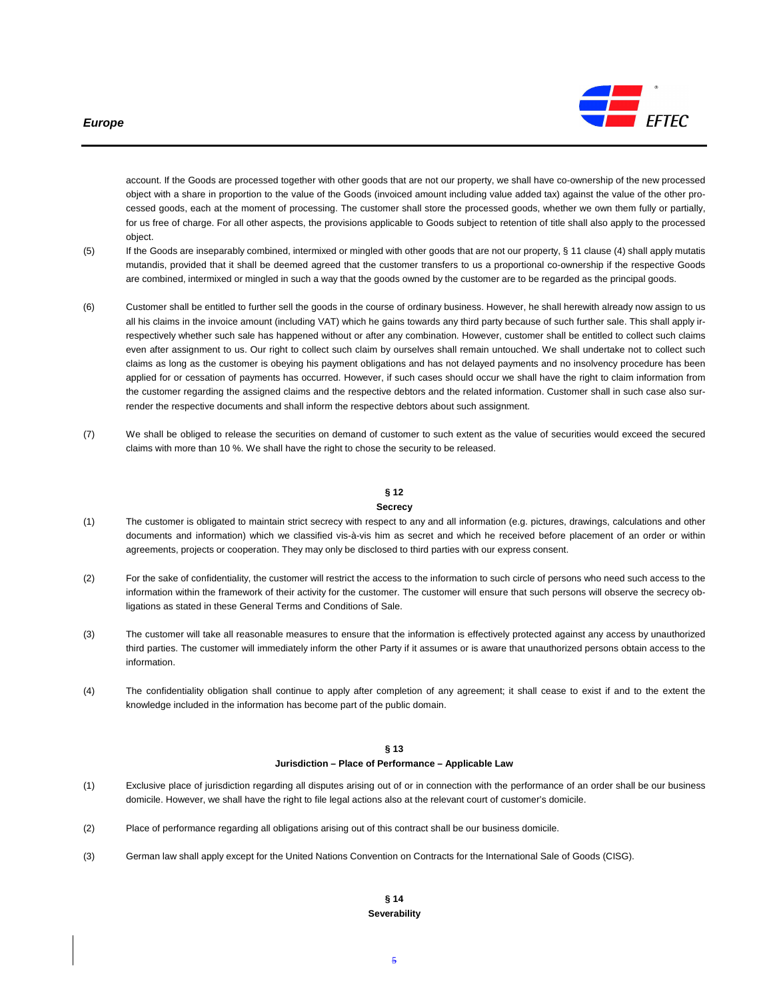#### **Europe**



account. If the Goods are processed together with other goods that are not our property, we shall have co-ownership of the new processed object with a share in proportion to the value of the Goods (invoiced amount including value added tax) against the value of the other processed goods, each at the moment of processing. The customer shall store the processed goods, whether we own them fully or partially, for us free of charge. For all other aspects, the provisions applicable to Goods subject to retention of title shall also apply to the processed object.

- (5) If the Goods are inseparably combined, intermixed or mingled with other goods that are not our property, § 11 clause (4) shall apply mutatis mutandis, provided that it shall be deemed agreed that the customer transfers to us a proportional co-ownership if the respective Goods are combined, intermixed or mingled in such a way that the goods owned by the customer are to be regarded as the principal goods.
- (6) Customer shall be entitled to further sell the goods in the course of ordinary business. However, he shall herewith already now assign to us all his claims in the invoice amount (including VAT) which he gains towards any third party because of such further sale. This shall apply irrespectively whether such sale has happened without or after any combination. However, customer shall be entitled to collect such claims even after assignment to us. Our right to collect such claim by ourselves shall remain untouched. We shall undertake not to collect such claims as long as the customer is obeying his payment obligations and has not delayed payments and no insolvency procedure has been applied for or cessation of payments has occurred. However, if such cases should occur we shall have the right to claim information from the customer regarding the assigned claims and the respective debtors and the related information. Customer shall in such case also surrender the respective documents and shall inform the respective debtors about such assignment.
- (7) We shall be obliged to release the securities on demand of customer to such extent as the value of securities would exceed the secured claims with more than 10 %. We shall have the right to chose the security to be released.

# **§ 12**

#### **Secrecy**

- (1) The customer is obligated to maintain strict secrecy with respect to any and all information (e.g. pictures, drawings, calculations and other documents and information) which we classified vis-à-vis him as secret and which he received before placement of an order or within agreements, projects or cooperation. They may only be disclosed to third parties with our express consent.
- (2) For the sake of confidentiality, the customer will restrict the access to the information to such circle of persons who need such access to the information within the framework of their activity for the customer. The customer will ensure that such persons will observe the secrecy obligations as stated in these General Terms and Conditions of Sale.
- (3) The customer will take all reasonable measures to ensure that the information is effectively protected against any access by unauthorized third parties. The customer will immediately inform the other Party if it assumes or is aware that unauthorized persons obtain access to the information.
- (4) The confidentiality obligation shall continue to apply after completion of any agreement; it shall cease to exist if and to the extent the knowledge included in the information has become part of the public domain.

# **§ 13**

#### **Jurisdiction – Place of Performance – Applicable Law**

- (1) Exclusive place of jurisdiction regarding all disputes arising out of or in connection with the performance of an order shall be our business domicile. However, we shall have the right to file legal actions also at the relevant court of customer's domicile.
- (2) Place of performance regarding all obligations arising out of this contract shall be our business domicile.
- (3) German law shall apply except for the United Nations Convention on Contracts for the International Sale of Goods (CISG).

#### **§ 14 Severability**